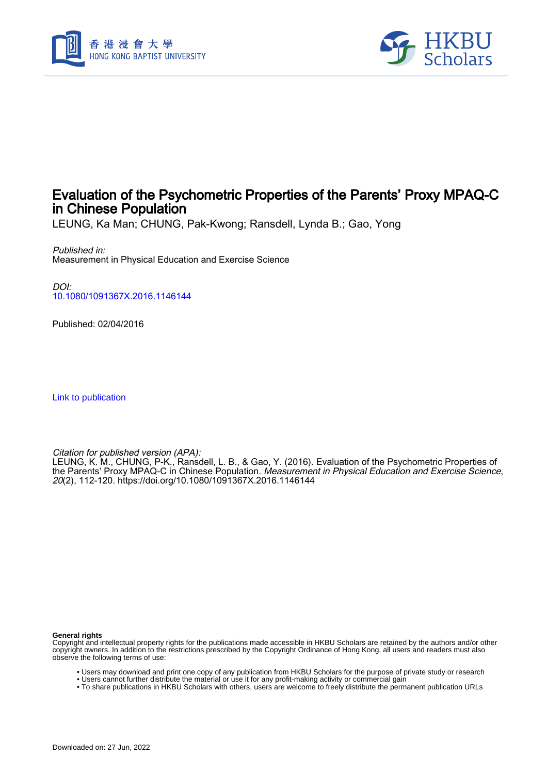



# Evaluation of the Psychometric Properties of the Parents' Proxy MPAQ-C in Chinese Population

LEUNG, Ka Man; CHUNG, Pak-Kwong; Ransdell, Lynda B.; Gao, Yong

Published in: Measurement in Physical Education and Exercise Science

DOI: [10.1080/1091367X.2016.1146144](https://doi.org/10.1080/1091367X.2016.1146144)

Published: 02/04/2016

[Link to publication](https://scholars.hkbu.edu.hk/en/publications/464722c3-db5b-4542-b4a4-169f92381591)

Citation for published version (APA):

LEUNG, K. M., CHUNG, P-K., Ransdell, L. B., & Gao, Y. (2016). Evaluation of the Psychometric Properties of the Parents' Proxy MPAQ-C in Chinese Population. *Measurement in Physical Education and Exercise Science*, 20(2), 112-120.<https://doi.org/10.1080/1091367X.2016.1146144>

**General rights**

Copyright and intellectual property rights for the publications made accessible in HKBU Scholars are retained by the authors and/or other copyright owners. In addition to the restrictions prescribed by the Copyright Ordinance of Hong Kong, all users and readers must also observe the following terms of use:

- Users may download and print one copy of any publication from HKBU Scholars for the purpose of private study or research
- Users cannot further distribute the material or use it for any profit-making activity or commercial gain
- To share publications in HKBU Scholars with others, users are welcome to freely distribute the permanent publication URLs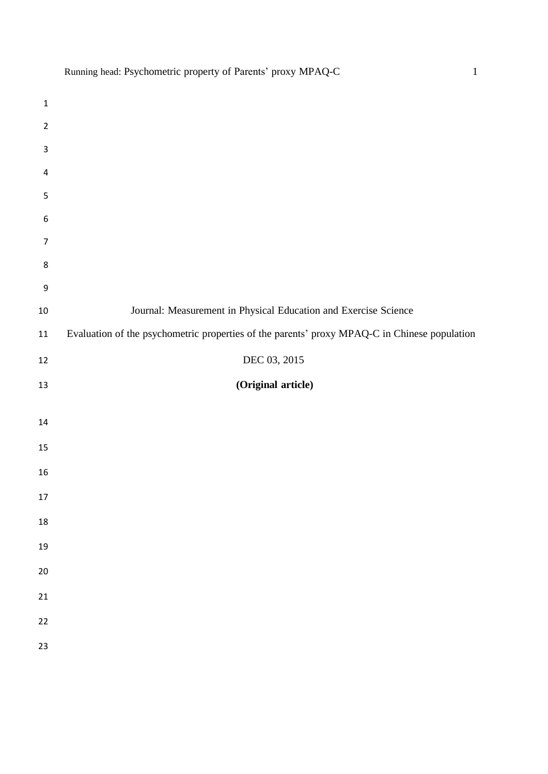|                           | $\overline{\phantom{a}}$                                                                     |
|---------------------------|----------------------------------------------------------------------------------------------|
| $\mathbf 1$               |                                                                                              |
| $\overline{2}$            |                                                                                              |
| $\ensuremath{\mathsf{3}}$ |                                                                                              |
| $\overline{\mathbf{4}}$   |                                                                                              |
| 5                         |                                                                                              |
| $\boldsymbol{6}$          |                                                                                              |
| $\overline{7}$            |                                                                                              |
| $\bf 8$                   |                                                                                              |
| $\boldsymbol{9}$          |                                                                                              |
| $10\,$                    | Journal: Measurement in Physical Education and Exercise Science                              |
| $11\,$                    | Evaluation of the psychometric properties of the parents' proxy MPAQ-C in Chinese population |
| $12\,$                    | DEC 03, 2015                                                                                 |
| 13                        | (Original article)                                                                           |
|                           |                                                                                              |
| $14\,$                    |                                                                                              |
| 15                        |                                                                                              |
| 16                        |                                                                                              |
| $17\,$                    |                                                                                              |
| 18                        |                                                                                              |
| 19                        |                                                                                              |
| 20                        |                                                                                              |
| 21                        |                                                                                              |
| 22                        |                                                                                              |
| 23                        |                                                                                              |
|                           |                                                                                              |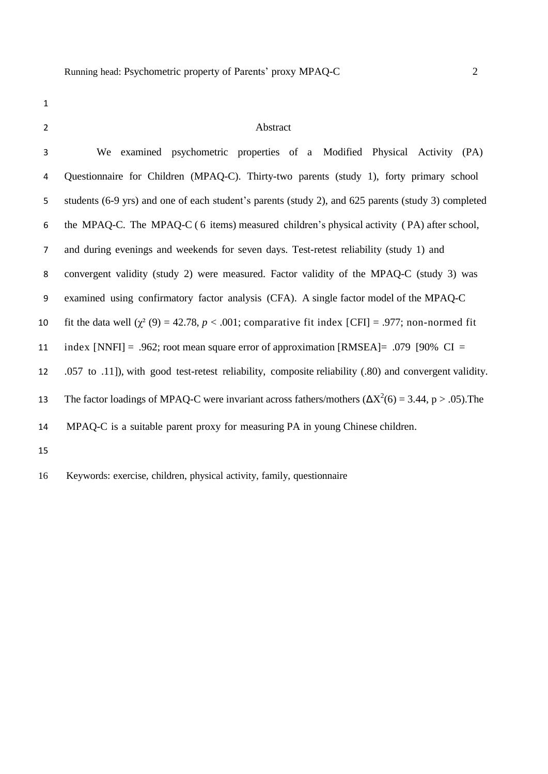# Abstract

| 3              | We examined psychometric properties of a Modified Physical Activity (PA)                                     |
|----------------|--------------------------------------------------------------------------------------------------------------|
| 4              | Questionnaire for Children (MPAQ-C). Thirty-two parents (study 1), forty primary school                      |
| 5              | students (6-9 yrs) and one of each student's parents (study 2), and 625 parents (study 3) completed          |
| 6              | the MPAQ-C. The MPAQ-C (6 items) measured children's physical activity (PA) after school,                    |
| $\overline{7}$ | and during evenings and weekends for seven days. Test-retest reliability (study 1) and                       |
| 8              | convergent validity (study 2) were measured. Factor validity of the MPAQ-C (study 3) was                     |
| 9              | examined using confirmatory factor analysis (CFA). A single factor model of the MPAQ-C                       |
| 10             | fit the data well ( $\chi^2$ (9) = 42.78, p < .001; comparative fit index [CFI] = .977; non-normed fit       |
| 11             | index [NNFI] = .962; root mean square error of approximation [RMSEA] = .079 [90% $CI =$                      |
| 12             | .057 to .11]), with good test-retest reliability, composite reliability (.80) and convergent validity.       |
| 13             | The factor loadings of MPAQ-C were invariant across fathers/mothers ( $\Delta X^2(6) = 3.44$ , p > .05). The |
| 14             | MPAQ-C is a suitable parent proxy for measuring PA in young Chinese children.                                |
| 15             |                                                                                                              |
|                |                                                                                                              |

Keywords: exercise, children, physical activity, family, questionnaire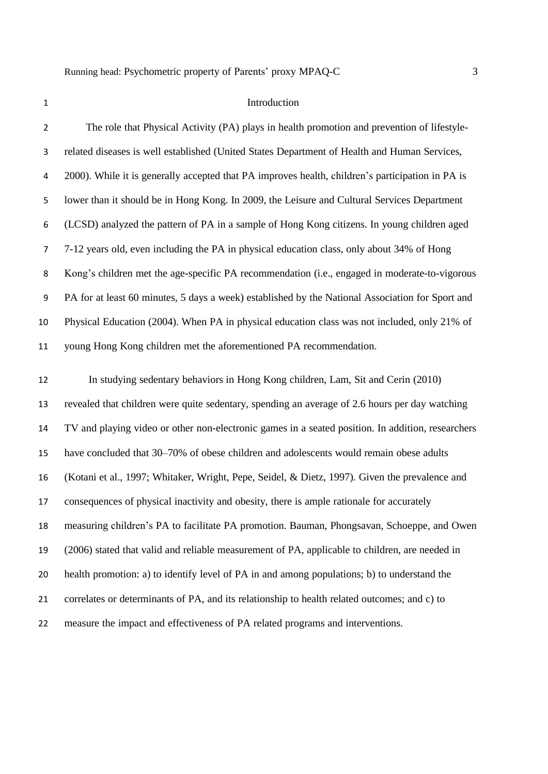#### 1 Introduction

 The role that Physical Activity (PA) plays in health promotion and prevention of lifestyle- related diseases is well established (United States Department of Health and Human Services, 2000). While it is generally accepted that PA improves health, children's participation in PA is lower than it should be in Hong Kong. In 2009, the Leisure and Cultural Services Department (LCSD) analyzed the pattern of PA in a sample of Hong Kong citizens. In young children aged 7-12 years old, even including the PA in physical education class, only about 34% of Hong Kong's children met the age-specific PA recommendation (i.e., engaged in moderate-to-vigorous PA for at least 60 minutes, 5 days a week) established by the National Association for Sport and Physical Education (2004). When PA in physical education class was not included, only 21% of young Hong Kong children met the aforementioned PA recommendation.

 In studying sedentary behaviors in Hong Kong children, Lam, Sit and Cerin (2010) revealed that children were quite sedentary, spending an average of 2.6 hours per day watching TV and playing video or other non-electronic games in a seated position. In addition, researchers have concluded that 30–70% of obese children and adolescents would remain obese adults (Kotani et al., 1997; Whitaker, Wright, Pepe, Seidel, & Dietz, 1997). Given the prevalence and consequences of physical inactivity and obesity, there is ample rationale for accurately measuring children's PA to facilitate PA promotion. Bauman, Phongsavan, Schoeppe, and Owen (2006) stated that valid and reliable measurement of PA, applicable to children, are needed in health promotion: a) to identify level of PA in and among populations; b) to understand the correlates or determinants of PA, and its relationship to health related outcomes; and c) to measure the impact and effectiveness of PA related programs and interventions.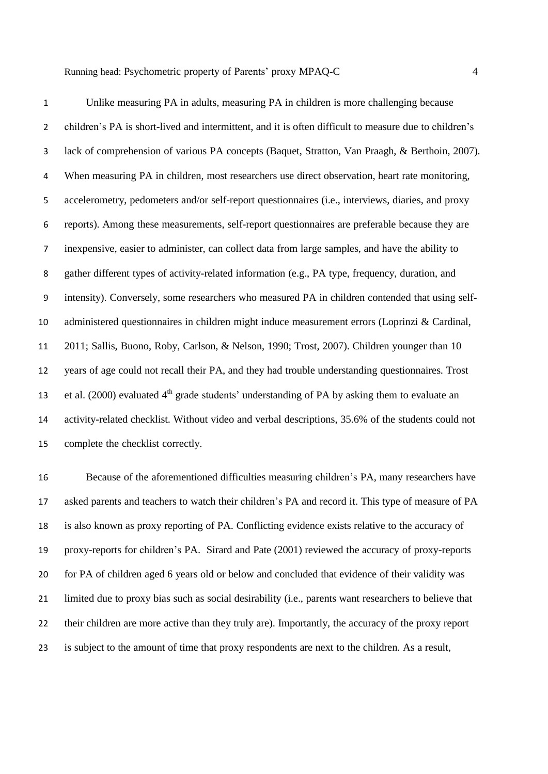| $\mathbf{1}$     | Unlike measuring PA in adults, measuring PA in children is more challenging because                   |
|------------------|-------------------------------------------------------------------------------------------------------|
| $\overline{2}$   | children's PA is short-lived and intermittent, and it is often difficult to measure due to children's |
| 3                | lack of comprehension of various PA concepts (Baquet, Stratton, Van Praagh, & Berthoin, 2007).        |
| 4                | When measuring PA in children, most researchers use direct observation, heart rate monitoring,        |
| 5                | accelerometry, pedometers and/or self-report questionnaires (i.e., interviews, diaries, and proxy     |
| 6                | reports). Among these measurements, self-report questionnaires are preferable because they are        |
| $\overline{7}$   | inexpensive, easier to administer, can collect data from large samples, and have the ability to       |
| 8                | gather different types of activity-related information (e.g., PA type, frequency, duration, and       |
| $\boldsymbol{9}$ | intensity). Conversely, some researchers who measured PA in children contended that using self-       |
| 10               | administered questionnaires in children might induce measurement errors (Loprinzi & Cardinal,         |
| 11               | 2011; Sallis, Buono, Roby, Carlson, & Nelson, 1990; Trost, 2007). Children younger than 10            |
| 12               | years of age could not recall their PA, and they had trouble understanding questionnaires. Trost      |
| 13               | et al. $(2000)$ evaluated $4th$ grade students' understanding of PA by asking them to evaluate an     |
| 14               | activity-related checklist. Without video and verbal descriptions, 35.6% of the students could not    |
| 15               | complete the checklist correctly.                                                                     |

 Because of the aforementioned difficulties measuring children's PA, many researchers have asked parents and teachers to watch their children's PA and record it. This type of measure of PA is also known as proxy reporting of PA. Conflicting evidence exists relative to the accuracy of proxy-reports for children's PA. Sirard and Pate (2001) reviewed the accuracy of proxy-reports for PA of children aged 6 years old or below and concluded that evidence of their validity was limited due to proxy bias such as social desirability (i.e., parents want researchers to believe that their children are more active than they truly are). Importantly, the accuracy of the proxy report is subject to the amount of time that proxy respondents are next to the children. As a result,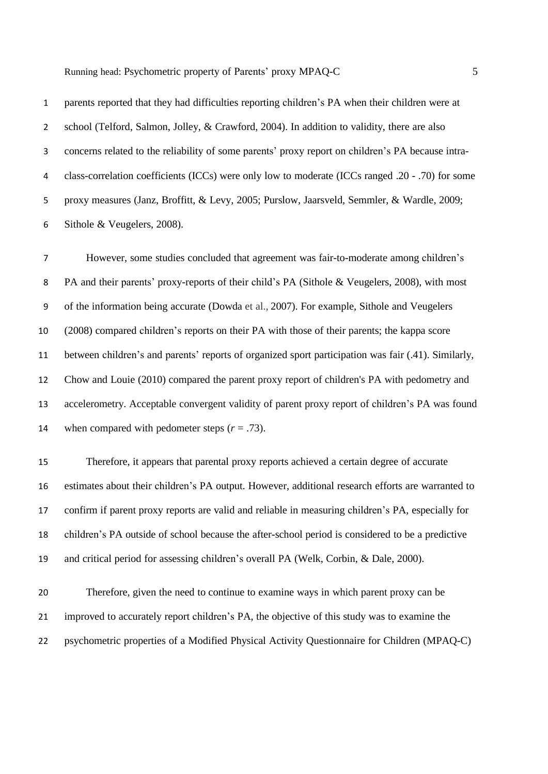parents reported that they had difficulties reporting children's PA when their children were at school (Telford, Salmon, Jolley, & Crawford, 2004). In addition to validity, there are also concerns related to the reliability of some parents' proxy report on children's PA because intra- class-correlation coefficients (ICCs) were only low to moderate (ICCs ranged .20 - .70) for some proxy measures (Janz, Broffitt, & Levy, 2005; Purslow, Jaarsveld, Semmler, & Wardle, 2009; Sithole & Veugelers, 2008).

 However, some studies concluded that agreement was fair-to-moderate among children's 8 PA and their parents' proxy-reports of their child's PA (Sithole & Veugelers, 2008), with most of the information being accurate (Dowda et al., 2007). For example, Sithole and Veugelers (2008) compared children's reports on their PA with those of their parents; the kappa score between children's and parents' reports of organized sport participation was fair (.41). Similarly, Chow and Louie (2010) compared the parent proxy report of children's PA with pedometry and accelerometry. Acceptable convergent validity of parent proxy report of children's PA was found 14 when compared with pedometer steps  $(r = .73)$ .

 Therefore, it appears that parental proxy reports achieved a certain degree of accurate estimates about their children's PA output. However, additional research efforts are warranted to confirm if parent proxy reports are valid and reliable in measuring children's PA, especially for children's PA outside of school because the after-school period is considered to be a predictive and critical period for assessing children's overall PA (Welk, Corbin, & Dale, 2000).

 Therefore, given the need to continue to examine ways in which parent proxy can be improved to accurately report children's PA, the objective of this study was to examine the psychometric properties of a Modified Physical Activity Questionnaire for Children (MPAQ-C)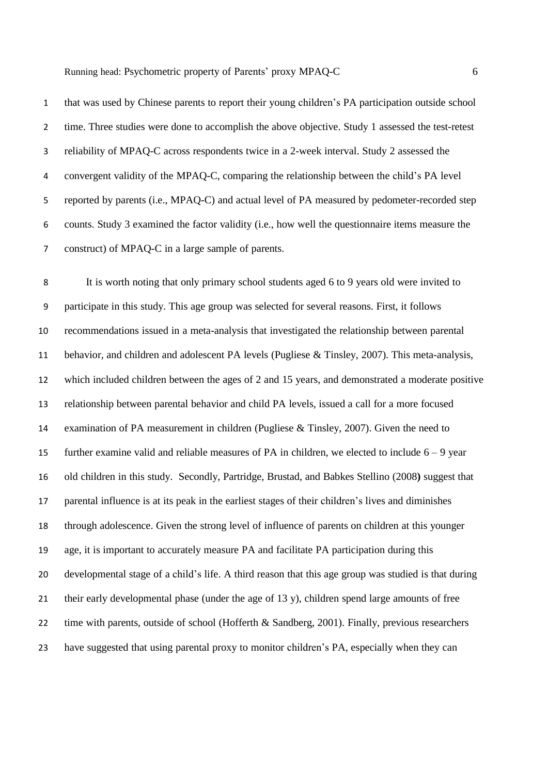that was used by Chinese parents to report their young children's PA participation outside school time. Three studies were done to accomplish the above objective. Study 1 assessed the test-retest reliability of MPAQ-C across respondents twice in a 2-week interval. Study 2 assessed the convergent validity of the MPAQ-C, comparing the relationship between the child's PA level reported by parents (i.e., MPAQ-C) and actual level of PA measured by pedometer-recorded step counts. Study 3 examined the factor validity (i.e., how well the questionnaire items measure the construct) of MPAQ-C in a large sample of parents.

 It is worth noting that only primary school students aged 6 to 9 years old were invited to participate in this study. This age group was selected for several reasons. First, it follows recommendations issued in a meta-analysis that investigated the relationship between parental behavior, and children and adolescent PA levels (Pugliese & Tinsley, 2007). This meta-analysis, which included children between the ages of 2 and 15 years, and demonstrated a moderate positive relationship between parental behavior and child PA levels, issued a call for a more focused examination of PA measurement in children (Pugliese & Tinsley, 2007). Given the need to 15 further examine valid and reliable measures of PA in children, we elected to include  $6 - 9$  year old children in this study. Secondly, Partridge, Brustad, and Babkes Stellino (2008**)** suggest that parental influence is at its peak in the earliest stages of their children's lives and diminishes through adolescence. Given the strong level of influence of parents on children at this younger age, it is important to accurately measure PA and facilitate PA participation during this developmental stage of a child's life. A third reason that this age group was studied is that during their early developmental phase (under the age of 13 y), children spend large amounts of free 22 time with parents, outside of school (Hofferth & Sandberg, 2001). Finally, previous researchers have suggested that using parental proxy to monitor children's PA, especially when they can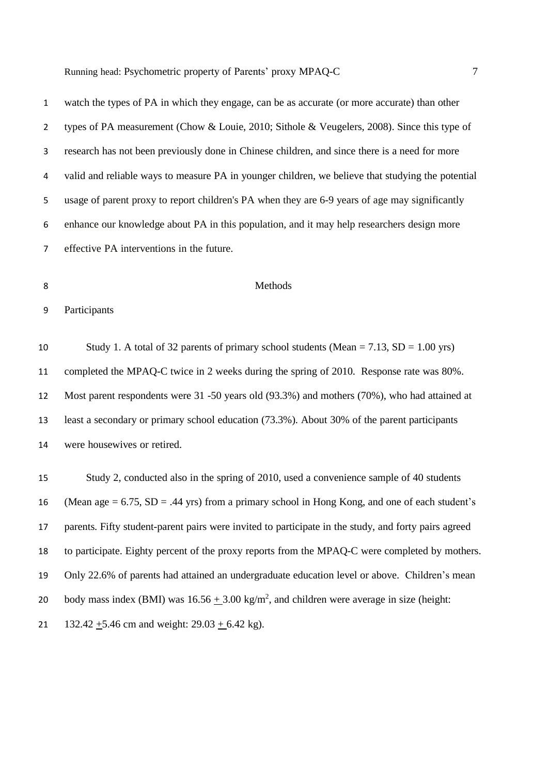| $\mathbf{1}$   | watch the types of PA in which they engage, can be as accurate (or more accurate) than other      |
|----------------|---------------------------------------------------------------------------------------------------|
| $\overline{2}$ | types of PA measurement (Chow & Louie, 2010; Sithole & Veugelers, 2008). Since this type of       |
| 3              | research has not been previously done in Chinese children, and since there is a need for more     |
| 4              | valid and reliable ways to measure PA in younger children, we believe that studying the potential |
| 5              | usage of parent proxy to report children's PA when they are 6-9 years of age may significantly    |
| 6              | enhance our knowledge about PA in this population, and it may help researchers design more        |
| $\overline{7}$ | effective PA interventions in the future.                                                         |
|                |                                                                                                   |
| 8              | Methods                                                                                           |
| 9              | Participants                                                                                      |
| 10             | Study 1. A total of 32 parents of primary school students (Mean = 7.13, SD = 1.00 yrs)            |
| 11             | completed the MPAQ-C twice in 2 weeks during the spring of 2010. Response rate was 80%.           |
| 12             | Most parent respondents were 31 -50 years old (93.3%) and mothers (70%), who had attained at      |
| 13             | least a secondary or primary school education (73.3%). About 30% of the parent participants       |
| 14             | were housewives or retired.                                                                       |
| 15             | Study 2, conducted also in the spring of 2010, used a convenience sample of 40 students           |

16 (Mean age  $= 6.75$ , SD  $= .44$  yrs) from a primary school in Hong Kong, and one of each student's parents. Fifty student-parent pairs were invited to participate in the study, and forty pairs agreed to participate. Eighty percent of the proxy reports from the MPAQ-C were completed by mothers. Only 22.6% of parents had attained an undergraduate education level or above. Children's mean 20 body mass index (BMI) was  $16.56 \pm 3.00 \text{ kg/m}^2$ , and children were average in size (height: 21 132.42  $\pm$ 5.46 cm and weight: 29.03  $\pm$  6.42 kg).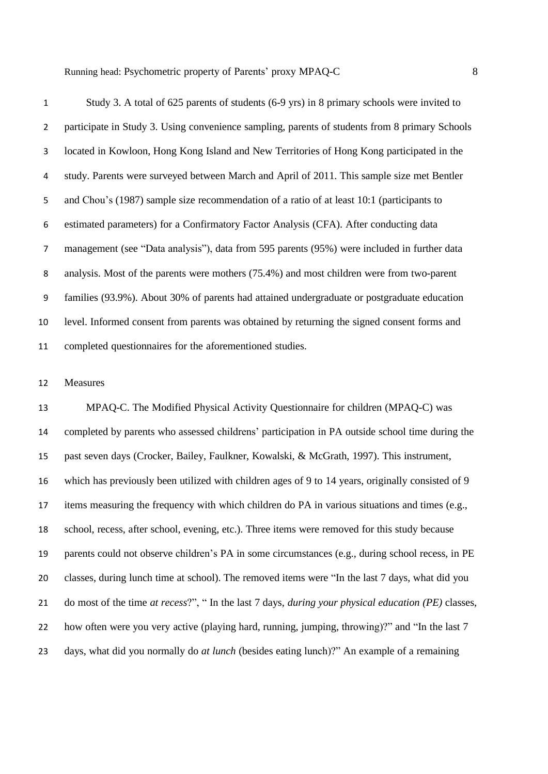Study 3. A total of 625 parents of students (6-9 yrs) in 8 primary schools were invited to participate in Study 3. Using convenience sampling, parents of students from 8 primary Schools located in Kowloon, Hong Kong Island and New Territories of Hong Kong participated in the study. Parents were surveyed between March and April of 2011. This sample size met Bentler and Chou's (1987) sample size recommendation of a ratio of at least 10:1 (participants to estimated parameters) for a Confirmatory Factor Analysis (CFA). After conducting data management (see "Data analysis"), data from 595 parents (95%) were included in further data analysis. Most of the parents were mothers (75.4%) and most children were from two-parent families (93.9%). About 30% of parents had attained undergraduate or postgraduate education level. Informed consent from parents was obtained by returning the signed consent forms and completed questionnaires for the aforementioned studies.

### Measures

 MPAQ-C. The Modified Physical Activity Questionnaire for children (MPAQ-C) was completed by parents who assessed childrens' participation in PA outside school time during the past seven days (Crocker, Bailey, Faulkner, Kowalski, & McGrath, 1997). This instrument, which has previously been utilized with children ages of 9 to 14 years, originally consisted of 9 items measuring the frequency with which children do PA in various situations and times (e.g., school, recess, after school, evening, etc.). Three items were removed for this study because parents could not observe children's PA in some circumstances (e.g., during school recess, in PE classes, during lunch time at school). The removed items were "In the last 7 days, what did you do most of the time *at recess*?", " In the last 7 days, *during your physical education (PE)* classes, how often were you very active (playing hard, running, jumping, throwing)?" and "In the last 7 days, what did you normally do *at lunch* (besides eating lunch)?" An example of a remaining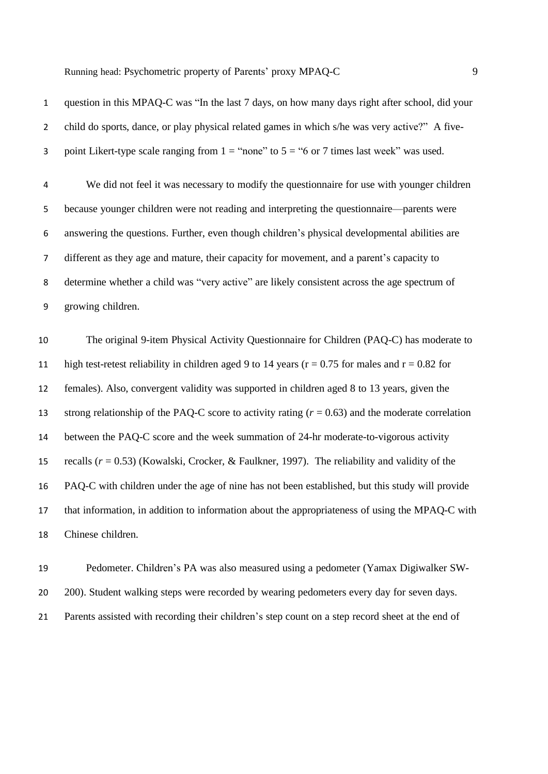| $\mathbf{1}$   | question in this MPAQ-C was "In the last 7 days, on how many days right after school, did your        |
|----------------|-------------------------------------------------------------------------------------------------------|
| $\overline{2}$ | child do sports, dance, or play physical related games in which s/he was very active?" A five-        |
| 3              | point Likert-type scale ranging from $1 =$ "none" to $5 =$ "6 or 7 times last week" was used.         |
| 4              | We did not feel it was necessary to modify the questionnaire for use with younger children            |
| 5              | because younger children were not reading and interpreting the questionnaire—parents were             |
| 6              | answering the questions. Further, even though children's physical developmental abilities are         |
| 7              | different as they age and mature, their capacity for movement, and a parent's capacity to             |
| 8              | determine whether a child was "very active" are likely consistent across the age spectrum of          |
| 9              | growing children.                                                                                     |
| 10             | The original 9-item Physical Activity Questionnaire for Children (PAQ-C) has moderate to              |
|                |                                                                                                       |
| 11             | high test-retest reliability in children aged 9 to 14 years ( $r = 0.75$ for males and $r = 0.82$ for |
| 12             | females). Also, convergent validity was supported in children aged 8 to 13 years, given the           |
| 13             | strong relationship of the PAQ-C score to activity rating $(r = 0.63)$ and the moderate correlation   |
| 14             | between the PAQ-C score and the week summation of 24-hr moderate-to-vigorous activity                 |
| 15             | recalls $(r = 0.53)$ (Kowalski, Crocker, & Faulkner, 1997). The reliability and validity of the       |

 that information, in addition to information about the appropriateness of using the MPAQ-C with Chinese children.

 Pedometer. Children's PA was also measured using a pedometer (Yamax Digiwalker SW-20 200). Student walking steps were recorded by wearing pedometers every day for seven days. Parents assisted with recording their children's step count on a step record sheet at the end of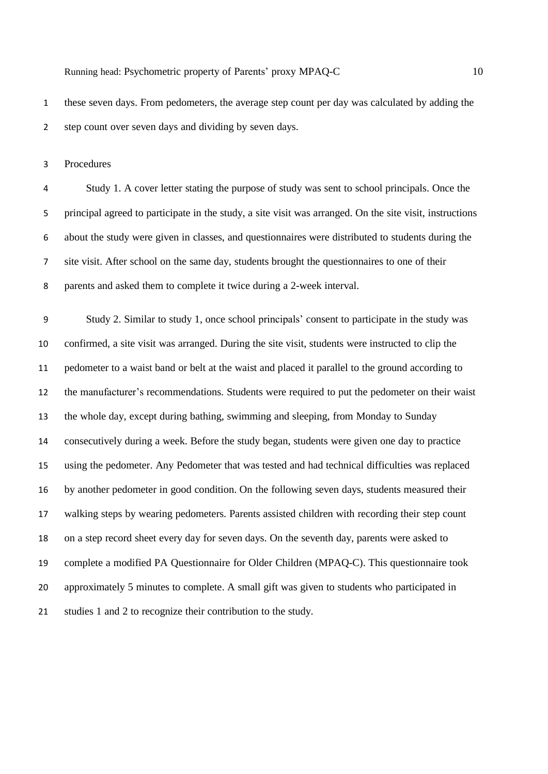these seven days. From pedometers, the average step count per day was calculated by adding the step count over seven days and dividing by seven days.

Procedures

 Study 1. A cover letter stating the purpose of study was sent to school principals. Once the principal agreed to participate in the study, a site visit was arranged. On the site visit, instructions about the study were given in classes, and questionnaires were distributed to students during the site visit. After school on the same day, students brought the questionnaires to one of their parents and asked them to complete it twice during a 2-week interval.

 Study 2. Similar to study 1, once school principals' consent to participate in the study was confirmed, a site visit was arranged. During the site visit, students were instructed to clip the pedometer to a waist band or belt at the waist and placed it parallel to the ground according to the manufacturer's recommendations. Students were required to put the pedometer on their waist the whole day, except during bathing, swimming and sleeping, from Monday to Sunday consecutively during a week. Before the study began, students were given one day to practice using the pedometer. Any Pedometer that was tested and had technical difficulties was replaced by another pedometer in good condition. On the following seven days, students measured their walking steps by wearing pedometers. Parents assisted children with recording their step count on a step record sheet every day for seven days. On the seventh day, parents were asked to complete a modified PA Questionnaire for Older Children (MPAQ-C). This questionnaire took approximately 5 minutes to complete. A small gift was given to students who participated in studies 1 and 2 to recognize their contribution to the study.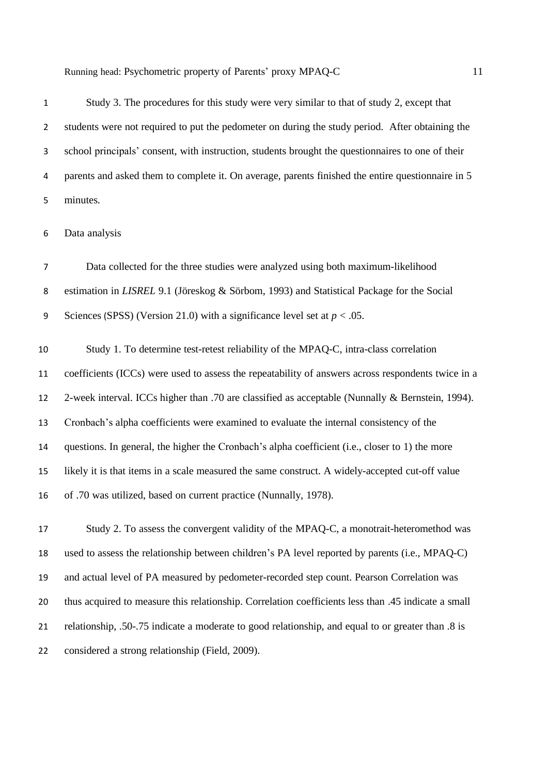Study 3. The procedures for this study were very similar to that of study 2, except that students were not required to put the pedometer on during the study period. After obtaining the school principals' consent, with instruction, students brought the questionnaires to one of their parents and asked them to complete it. On average, parents finished the entire questionnaire in 5 minutes.

Data analysis

 Data collected for the three studies were analyzed using both maximum-likelihood estimation in *LISREL* 9.1 (Jöreskog & Sörbom, 1993) and Statistical Package for the Social Sciences (SPSS) (Version 21.0) with a significance level set at *p* < .05.

 Study 1. To determine test-retest reliability of the MPAQ-C, intra-class correlation coefficients (ICCs) were used to assess the repeatability of answers across respondents twice in a 2-week interval. ICCs higher than .70 are classified as acceptable (Nunnally & Bernstein, 1994). Cronbach's alpha coefficients were examined to evaluate the internal consistency of the questions. In general, the higher the Cronbach's alpha coefficient (i.e., closer to 1) the more likely it is that items in a scale measured the same construct. A widely-accepted cut-off value of .70 was utilized, based on current practice (Nunnally, 1978).

 Study 2. To assess the convergent validity of the MPAQ-C, a monotrait-heteromethod was used to assess the relationship between children's PA level reported by parents (i.e., MPAQ-C) and actual level of PA measured by pedometer-recorded step count. Pearson Correlation was thus acquired to measure this relationship. Correlation coefficients less than .45 indicate a small relationship, .50-.75 indicate a moderate to good relationship, and equal to or greater than .8 is considered a strong relationship (Field, 2009).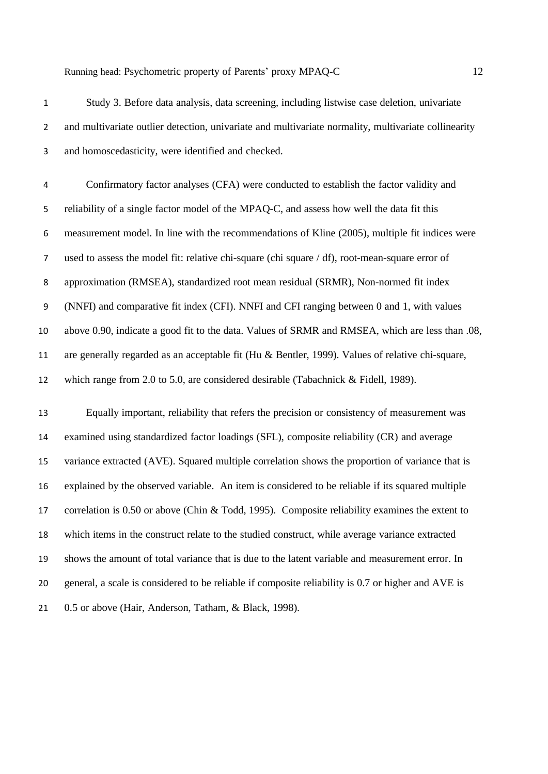and homoscedasticity, were identified and checked.

 Confirmatory factor analyses (CFA) were conducted to establish the factor validity and reliability of a single factor model of the MPAQ-C, and assess how well the data fit this measurement model. In line with the recommendations of Kline (2005), multiple fit indices were used to assess the model fit: relative chi-square (chi square / df), root-mean-square error of

approximation (RMSEA), standardized root mean residual (SRMR), Non-normed fit index

(NNFI) and comparative fit index (CFI). NNFI and CFI ranging between 0 and 1, with values

above 0.90, indicate a good fit to the data. Values of SRMR and RMSEA, which are less than .08,

are generally regarded as an acceptable fit (Hu & Bentler, 1999). Values of relative chi-square,

which range from 2.0 to 5.0, are considered desirable (Tabachnick & Fidell, 1989).

 Equally important, reliability that refers the precision or consistency of measurement was examined using standardized factor loadings (SFL), composite reliability (CR) and average variance extracted (AVE). Squared multiple correlation shows the proportion of variance that is explained by the observed variable. An item is considered to be reliable if its squared multiple correlation is 0.50 or above (Chin & Todd, 1995). Composite reliability examines the extent to which items in the construct relate to the studied construct, while average variance extracted shows the amount of total variance that is due to the latent variable and measurement error. In general, a scale is considered to be reliable if composite reliability is 0.7 or higher and AVE is 0.5 or above (Hair, Anderson, Tatham, & Black, 1998).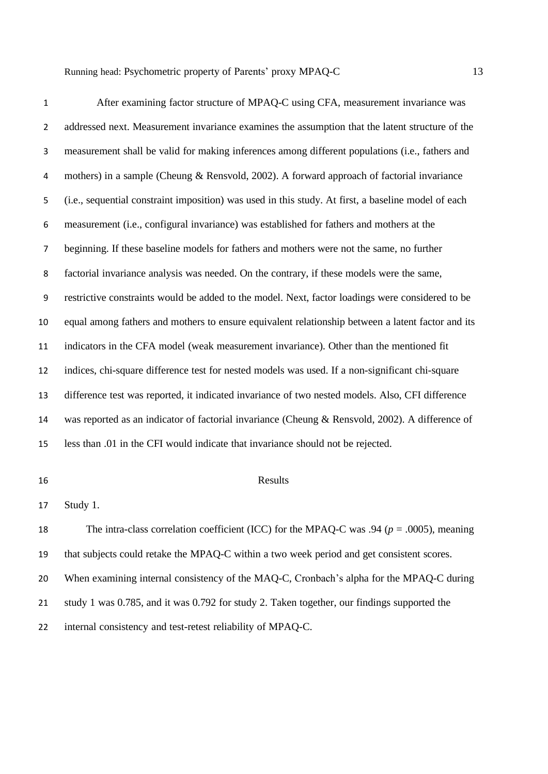| $\mathbf{1}$   | After examining factor structure of MPAQ-C using CFA, measurement invariance was                    |
|----------------|-----------------------------------------------------------------------------------------------------|
| $\overline{2}$ | addressed next. Measurement invariance examines the assumption that the latent structure of the     |
| 3              | measurement shall be valid for making inferences among different populations (i.e., fathers and     |
| 4              | mothers) in a sample (Cheung & Rensvold, 2002). A forward approach of factorial invariance          |
| 5              | (i.e., sequential constraint imposition) was used in this study. At first, a baseline model of each |
| 6              | measurement (i.e., configural invariance) was established for fathers and mothers at the            |
| 7              | beginning. If these baseline models for fathers and mothers were not the same, no further           |
| 8              | factorial invariance analysis was needed. On the contrary, if these models were the same,           |
| 9              | restrictive constraints would be added to the model. Next, factor loadings were considered to be    |
| 10             | equal among fathers and mothers to ensure equivalent relationship between a latent factor and its   |
| 11             | indicators in the CFA model (weak measurement invariance). Other than the mentioned fit             |
| 12             | indices, chi-square difference test for nested models was used. If a non-significant chi-square     |
| 13             | difference test was reported, it indicated invariance of two nested models. Also, CFI difference    |
| 14             | was reported as an indicator of factorial invariance (Cheung & Rensvold, 2002). A difference of     |
| 15             | less than .01 in the CFI would indicate that invariance should not be rejected.                     |

## Results

Study 1.

18 The intra-class correlation coefficient (ICC) for the MPAQ-C was .94 ( $p = .0005$ ), meaning that subjects could retake the MPAQ-C within a two week period and get consistent scores. When examining internal consistency of the MAQ-C, Cronbach's alpha for the MPAQ-C during study 1 was 0.785, and it was 0.792 for study 2. Taken together, our findings supported the internal consistency and test-retest reliability of MPAQ-C.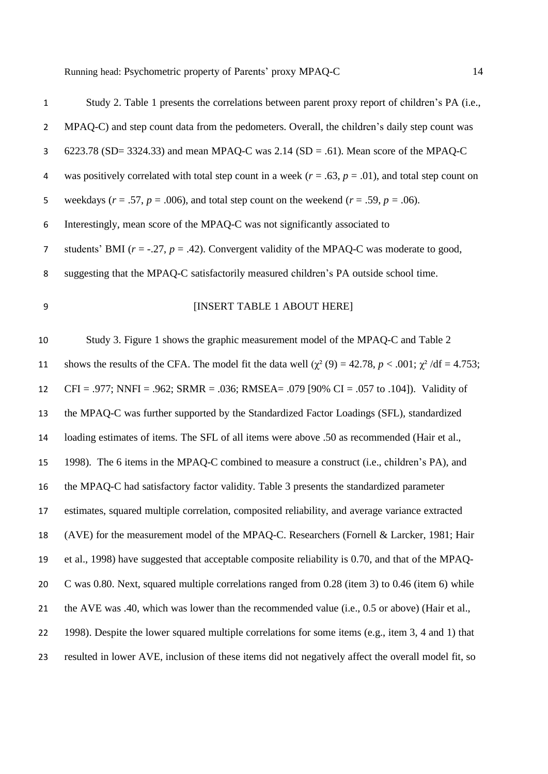| $\mathbf{1}$   | Study 2. Table 1 presents the correlations between parent proxy report of children's PA (i.e.,               |
|----------------|--------------------------------------------------------------------------------------------------------------|
| $\overline{2}$ | MPAQ-C) and step count data from the pedometers. Overall, the children's daily step count was                |
| 3              | 6223.78 (SD= 3324.33) and mean MPAQ-C was 2.14 (SD = .61). Mean score of the MPAQ-C                          |
| 4              | was positively correlated with total step count in a week ( $r = .63$ , $p = .01$ ), and total step count on |
| 5              | weekdays ( $r = .57$ , $p = .006$ ), and total step count on the weekend ( $r = .59$ , $p = .06$ ).          |
| 6              | Interestingly, mean score of the MPAQ-C was not significantly associated to                                  |
| 7              | students' BMI ( $r = -0.27$ , $p = 0.42$ ). Convergent validity of the MPAQ-C was moderate to good,          |
| 8              | suggesting that the MPAQ-C satisfactorily measured children's PA outside school time.                        |
| 9              | [INSERT TABLE 1 ABOUT HERE]                                                                                  |
| 10             | Study 3. Figure 1 shows the graphic measurement model of the MPAQ-C and Table 2                              |
| 11             | shows the results of the CFA. The model fit the data well $(\chi^2(9) = 42.78, p < .001; \chi^2/df = 4.753;$ |
| 12             | CFI = .977; NNFI = .962; SRMR = .036; RMSEA= .079 [90% CI = .057 to .104]). Validity of                      |
| 13             | the MPAQ-C was further supported by the Standardized Factor Loadings (SFL), standardized                     |
| 14             | loading estimates of items. The SFL of all items were above .50 as recommended (Hair et al.,                 |
| 15             | 1998). The 6 items in the MPAQ-C combined to measure a construct (i.e., children's PA), and                  |
| 16             | the MPAQ-C had satisfactory factor validity. Table 3 presents the standardized parameter                     |
| 17             | estimates, squared multiple correlation, composited reliability, and average variance extracted              |
| 18             | (AVE) for the measurement model of the MPAQ-C. Researchers (Fornell & Larcker, 1981; Hair                    |
| 19             | et al., 1998) have suggested that acceptable composite reliability is 0.70, and that of the MPAQ-            |
| 20             | C was 0.80. Next, squared multiple correlations ranged from 0.28 (item 3) to 0.46 (item 6) while             |
| 21             | the AVE was .40, which was lower than the recommended value (i.e., 0.5 or above) (Hair et al.,               |

1998). Despite the lower squared multiple correlations for some items (e.g., item 3, 4 and 1) that

resulted in lower AVE, inclusion of these items did not negatively affect the overall model fit, so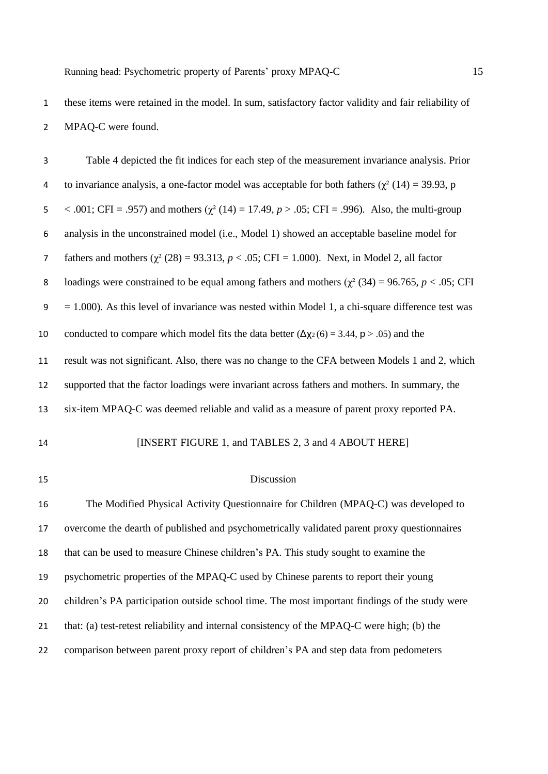these items were retained in the model. In sum, satisfactory factor validity and fair reliability of MPAQ-C were found.

| 3              | Table 4 depicted the fit indices for each step of the measurement invariance analysis. Prior           |
|----------------|--------------------------------------------------------------------------------------------------------|
| 4              | to invariance analysis, a one-factor model was acceptable for both fathers ( $\chi^2$ (14) = 39.93, p  |
| 5              | < .001; CFI = .957) and mothers ( $\chi^2$ (14) = 17.49, p > .05; CFI = .996). Also, the multi-group   |
| 6              | analysis in the unconstrained model (i.e., Model 1) showed an acceptable baseline model for            |
| $\overline{7}$ | fathers and mothers $(\chi^2 (28) = 93.313, p < .05; CFI = 1.000)$ . Next, in Model 2, all factor      |
| 8              | loadings were constrained to be equal among fathers and mothers ( $\chi^2$ (34) = 96.765, p < .05; CFI |
| 9              | $= 1.000$ ). As this level of invariance was nested within Model 1, a chi-square difference test was   |
| 10             | conducted to compare which model fits the data better $(\Delta x)(6) = 3.44$ , $p > .05$ ) and the     |
| 11             | result was not significant. Also, there was no change to the CFA between Models 1 and 2, which         |
| 12             | supported that the factor loadings were invariant across fathers and mothers. In summary, the          |
| 13             | six-item MPAQ-C was deemed reliable and valid as a measure of parent proxy reported PA.                |
| 14             | [INSERT FIGURE 1, and TABLES 2, 3 and 4 ABOUT HERE]                                                    |
| 15             | Discussion                                                                                             |
| 16             | The Modified Physical Activity Questionnaire for Children (MPAQ-C) was developed to                    |
| 17             | overcome the dearth of published and psychometrically validated parent proxy questionnaires            |
| 18             | that can be used to measure Chinese children's PA. This study sought to examine the                    |
| 19             | psychometric properties of the MPAQ-C used by Chinese parents to report their young                    |
| 20             | children's PA participation outside school time. The most important findings of the study were         |
| 21             | that: (a) test-retest reliability and internal consistency of the MPAQ-C were high; (b) the            |
| 22             | comparison between parent proxy report of children's PA and step data from pedometers                  |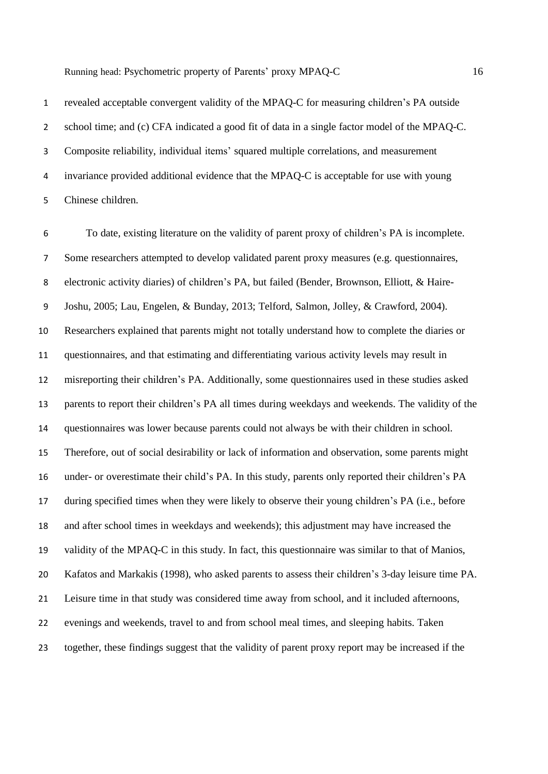invariance provided additional evidence that the MPAQ-C is acceptable for use with young Chinese children.

Composite reliability, individual items' squared multiple correlations, and measurement

 To date, existing literature on the validity of parent proxy of children's PA is incomplete. Some researchers attempted to develop validated parent proxy measures (e.g. questionnaires, electronic activity diaries) of children's PA, but failed (Bender, Brownson, Elliott, & Haire- Joshu, 2005; Lau, Engelen, & Bunday, 2013; Telford, Salmon, Jolley, & Crawford, 2004). Researchers explained that parents might not totally understand how to complete the diaries or questionnaires, and that estimating and differentiating various activity levels may result in misreporting their children's PA. Additionally, some questionnaires used in these studies asked parents to report their children's PA all times during weekdays and weekends. The validity of the questionnaires was lower because parents could not always be with their children in school. Therefore, out of social desirability or lack of information and observation, some parents might under- or overestimate their child's PA. In this study, parents only reported their children's PA during specified times when they were likely to observe their young children's PA (i.e., before and after school times in weekdays and weekends); this adjustment may have increased the validity of the MPAQ-C in this study. In fact, this questionnaire was similar to that of Manios, Kafatos and Markakis (1998), who asked parents to assess their children's 3-day leisure time PA. Leisure time in that study was considered time away from school, and it included afternoons, evenings and weekends, travel to and from school meal times, and sleeping habits. Taken together, these findings suggest that the validity of parent proxy report may be increased if the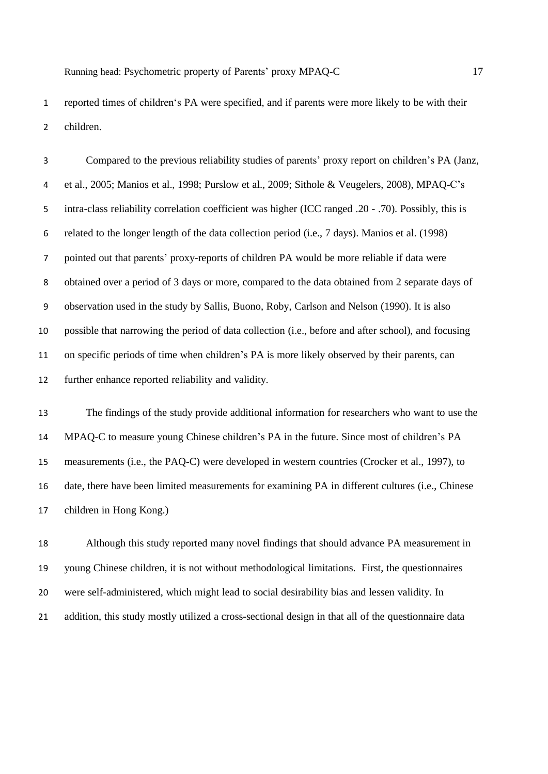reported times of children's PA were specified, and if parents were more likely to be with their children.

 Compared to the previous reliability studies of parents' proxy report on children's PA (Janz, et al., 2005; Manios et al., 1998; Purslow et al., 2009; Sithole & Veugelers, 2008), MPAQ-C's intra-class reliability correlation coefficient was higher (ICC ranged .20 - .70). Possibly, this is related to the longer length of the data collection period (i.e., 7 days). Manios et al. (1998) pointed out that parents' proxy-reports of children PA would be more reliable if data were obtained over a period of 3 days or more, compared to the data obtained from 2 separate days of observation used in the study by Sallis, Buono, Roby, Carlson and Nelson (1990). It is also possible that narrowing the period of data collection (i.e., before and after school), and focusing on specific periods of time when children's PA is more likely observed by their parents, can further enhance reported reliability and validity.

 The findings of the study provide additional information for researchers who want to use the MPAQ-C to measure young Chinese children's PA in the future. Since most of children's PA measurements (i.e., the PAQ-C) were developed in western countries (Crocker et al., 1997), to date, there have been limited measurements for examining PA in different cultures (i.e., Chinese children in Hong Kong.)

 Although this study reported many novel findings that should advance PA measurement in young Chinese children, it is not without methodological limitations. First, the questionnaires were self-administered, which might lead to social desirability bias and lessen validity. In addition, this study mostly utilized a cross-sectional design in that all of the questionnaire data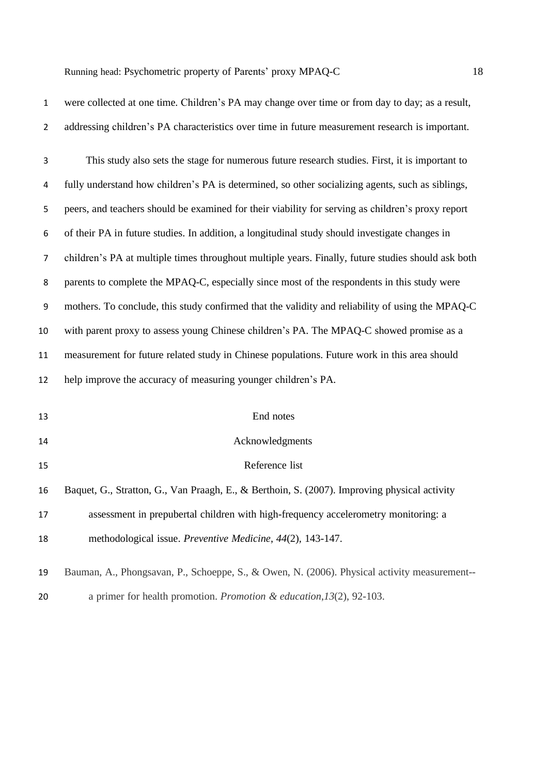| $\mathbf{1}$   | were collected at one time. Children's PA may change over time or from day to day; as a result,    |
|----------------|----------------------------------------------------------------------------------------------------|
| $\overline{2}$ | addressing children's PA characteristics over time in future measurement research is important.    |
| 3              | This study also sets the stage for numerous future research studies. First, it is important to     |
| 4              | fully understand how children's PA is determined, so other socializing agents, such as siblings,   |
| 5              | peers, and teachers should be examined for their viability for serving as children's proxy report  |
| 6              | of their PA in future studies. In addition, a longitudinal study should investigate changes in     |
| 7              | children's PA at multiple times throughout multiple years. Finally, future studies should ask both |
| 8              | parents to complete the MPAQ-C, especially since most of the respondents in this study were        |
| 9              | mothers. To conclude, this study confirmed that the validity and reliability of using the MPAQ-C   |
| 10             | with parent proxy to assess young Chinese children's PA. The MPAQ-C showed promise as a            |
| 11             | measurement for future related study in Chinese populations. Future work in this area should       |
| 12             | help improve the accuracy of measuring younger children's PA.                                      |
| 13             | End notes                                                                                          |
| 14             | Acknowledgments                                                                                    |
| 15             | Reference list                                                                                     |
| 16             | Baquet, G., Stratton, G., Van Praagh, E., & Berthoin, S. (2007). Improving physical activity       |
| 17             | assessment in prepubertal children with high-frequency accelerometry monitoring: a                 |
| 18             | methodological issue. Preventive Medicine, 44(2), 143-147.                                         |
| 19             | Bauman, A., Phongsavan, P., Schoeppe, S., & Owen, N. (2006). Physical activity measurement--       |
| 20             | a primer for health promotion. Promotion & education, $13(2)$ , 92-103.                            |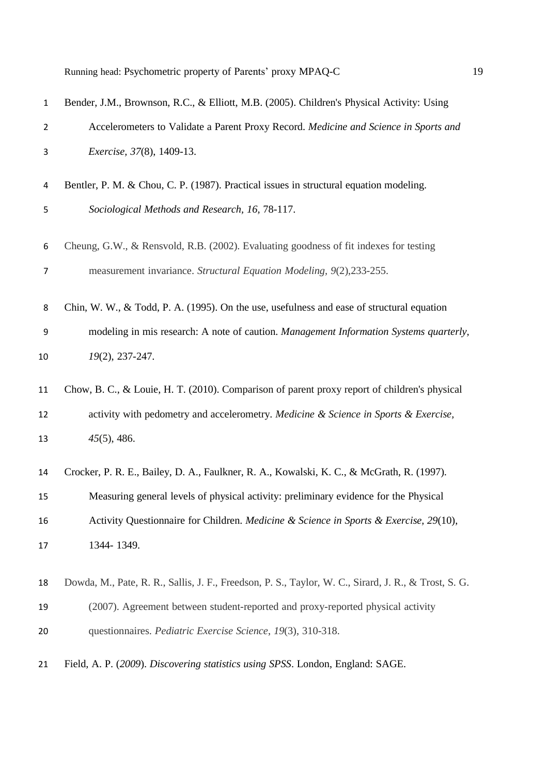| $\mathbf{1}$ | Bender, J.M., Brownson, R.C., & Elliott, M.B. (2005). Children's Physical Activity: Using            |
|--------------|------------------------------------------------------------------------------------------------------|
| 2            | Accelerometers to Validate a Parent Proxy Record. Medicine and Science in Sports and                 |
| 3            | <i>Exercise</i> , 37(8), 1409-13.                                                                    |
| 4            | Bentler, P. M. & Chou, C. P. (1987). Practical issues in structural equation modeling.               |
| 5            | Sociological Methods and Research, 16, 78-117.                                                       |
| 6            | Cheung, G.W., & Rensvold, R.B. (2002). Evaluating goodness of fit indexes for testing                |
| 7            | measurement invariance. Structural Equation Modeling, 9(2), 233-255.                                 |
| 8            | Chin, W. W., & Todd, P. A. (1995). On the use, usefulness and ease of structural equation            |
| 9            | modeling in mis research: A note of caution. Management Information Systems quarterly,               |
| 10           | 19(2), 237-247.                                                                                      |
| 11           | Chow, B. C., & Louie, H. T. (2010). Comparison of parent proxy report of children's physical         |
| 12           | activity with pedometry and accelerometry. Medicine & Science in Sports & Exercise,                  |
| 13           | $45(5)$ , 486.                                                                                       |
| 14           | Crocker, P. R. E., Bailey, D. A., Faulkner, R. A., Kowalski, K. C., & McGrath, R. (1997).            |
| 15           | Measuring general levels of physical activity: preliminary evidence for the Physical                 |
| 16           | Activity Questionnaire for Children. Medicine & Science in Sports & Exercise, 29(10),                |
| 17           | 1344-1349.                                                                                           |
| 18           | Dowda, M., Pate, R. R., Sallis, J. F., Freedson, P. S., Taylor, W. C., Sirard, J. R., & Trost, S. G. |
| 19           | (2007). Agreement between student-reported and proxy-reported physical activity                      |
| 20           | questionnaires. Pediatric Exercise Science, 19(3), 310-318.                                          |
| 21           | Field, A. P. (2009). Discovering statistics using SPSS. London, England: SAGE.                       |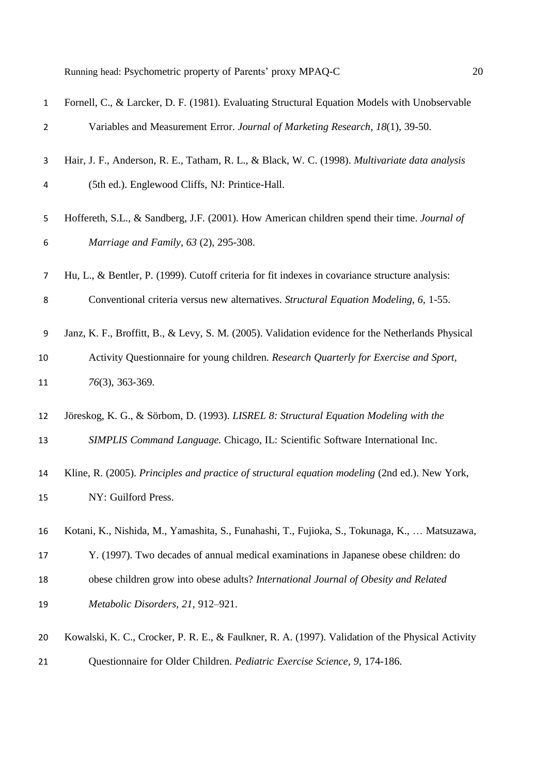| $\mathbf{1}$ | Fornell, C., & Larcker, D. F. (1981). Evaluating Structural Equation Models with Unobservable     |
|--------------|---------------------------------------------------------------------------------------------------|
| 2            | Variables and Measurement Error. Journal of Marketing Research, 18(1), 39-50.                     |
| 3            | Hair, J. F., Anderson, R. E., Tatham, R. L., & Black, W. C. (1998). Multivariate data analysis    |
| 4            | (5th ed.). Englewood Cliffs, NJ: Printice-Hall.                                                   |
| 5            | Hoffereth, S.L., & Sandberg, J.F. (2001). How American children spend their time. Journal of      |
| 6            | Marriage and Family, 63 (2), 295-308.                                                             |
| 7            | Hu, L., & Bentler, P. (1999). Cutoff criteria for fit indexes in covariance structure analysis:   |
| 8            | Conventional criteria versus new alternatives. Structural Equation Modeling, 6, 1-55.             |
| 9            | Janz, K. F., Broffitt, B., & Levy, S. M. (2005). Validation evidence for the Netherlands Physical |
| 10           | Activity Questionnaire for young children. Research Quarterly for Exercise and Sport,             |
| 11           | 76(3), 363-369.                                                                                   |
| 12           | Jöreskog, K. G., & Sörbom, D. (1993). LISREL 8: Structural Equation Modeling with the             |
| 13           | SIMPLIS Command Language. Chicago, IL: Scientific Software International Inc.                     |
| 14           | Kline, R. (2005). Principles and practice of structural equation modeling (2nd ed.). New York,    |
| 15           | NY: Guilford Press.                                                                               |
| 16           | Kotani, K., Nishida, M., Yamashita, S., Funahashi, T., Fujioka, S., Tokunaga, K.,  Matsuzawa,     |
| 17           | Y. (1997). Two decades of annual medical examinations in Japanese obese children: do              |
| 18           | obese children grow into obese adults? International Journal of Obesity and Related               |
| 19           | Metabolic Disorders, 21, 912-921.                                                                 |
| 20           | Kowalski, K. C., Crocker, P. R. E., & Faulkner, R. A. (1997). Validation of the Physical Activity |
| 21           | Questionnaire for Older Children. Pediatric Exercise Science, 9, 174-186.                         |
|              |                                                                                                   |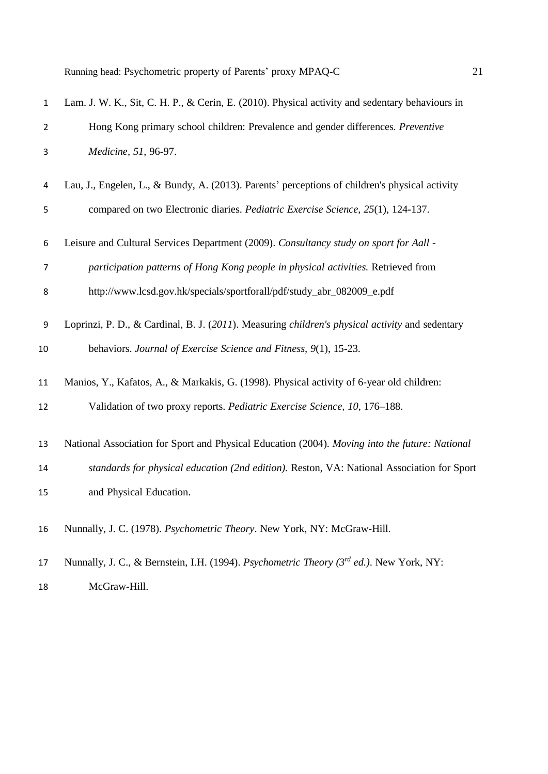| $\mathbf{1}$   | Lam. J. W. K., Sit, C. H. P., & Cerin, E. (2010). Physical activity and sedentary behaviours in            |
|----------------|------------------------------------------------------------------------------------------------------------|
| $\overline{2}$ | Hong Kong primary school children: Prevalence and gender differences. Preventive                           |
| 3              | Medicine, 51, 96-97.                                                                                       |
| 4              | Lau, J., Engelen, L., & Bundy, A. (2013). Parents' perceptions of children's physical activity             |
| 5              | compared on two Electronic diaries. Pediatric Exercise Science, 25(1), 124-137.                            |
| 6              | Leisure and Cultural Services Department (2009). Consultancy study on sport for Aall -                     |
| 7              | participation patterns of Hong Kong people in physical activities. Retrieved from                          |
| 8              | http://www.lcsd.gov.hk/specials/sportforall/pdf/study_abr_082009_e.pdf                                     |
| 9              | Loprinzi, P. D., & Cardinal, B. J. (2011). Measuring children's physical activity and sedentary            |
| 10             | behaviors. Journal of Exercise Science and Fitness, 9(1), 15-23.                                           |
| 11             | Manios, Y., Kafatos, A., & Markakis, G. (1998). Physical activity of 6-year old children:                  |
| 12             | Validation of two proxy reports. Pediatric Exercise Science, 10, 176-188.                                  |
| 13             | National Association for Sport and Physical Education (2004). Moving into the future: National             |
| 14             | standards for physical education (2nd edition). Reston, VA: National Association for Sport                 |
| 15             | and Physical Education.                                                                                    |
| 16             | Nunnally, J. C. (1978). Psychometric Theory. New York, NY: McGraw-Hill.                                    |
| 17             | Nunnally, J. C., & Bernstein, I.H. (1994). <i>Psychometric Theory (3<sup>rd</sup> ed.)</i> . New York, NY: |

McGraw-Hill.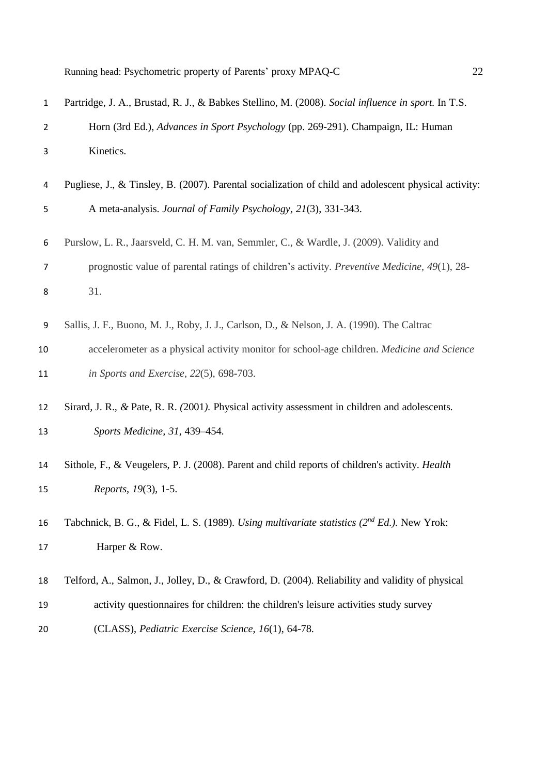| $\mathbf{1}$ | Partridge, J. A., Brustad, R. J., & Babkes Stellino, M. (2008). Social influence in sport. In T.S.                 |
|--------------|--------------------------------------------------------------------------------------------------------------------|
| 2            | Horn (3rd Ed.), Advances in Sport Psychology (pp. 269-291). Champaign, IL: Human                                   |
| 3            | Kinetics.                                                                                                          |
| 4            | Pugliese, J., & Tinsley, B. (2007). Parental socialization of child and adolescent physical activity:              |
| 5            | A meta-analysis. Journal of Family Psychology, 21(3), 331-343.                                                     |
| 6            | Purslow, L. R., Jaarsveld, C. H. M. van, Semmler, C., & Wardle, J. (2009). Validity and                            |
| 7            | prognostic value of parental ratings of children's activity. Preventive Medicine, 49(1), 28-                       |
| 8            | 31.                                                                                                                |
| 9            | Sallis, J. F., Buono, M. J., Roby, J. J., Carlson, D., & Nelson, J. A. (1990). The Caltrac                         |
| 10           | accelerometer as a physical activity monitor for school-age children. Medicine and Science                         |
| 11           | in Sports and Exercise, 22(5), 698-703.                                                                            |
| 12           | Sirard, J. R., & Pate, R. R. (2001). Physical activity assessment in children and adolescents.                     |
| 13           | Sports Medicine, 31, 439-454.                                                                                      |
| 14           | Sithole, F., & Veugelers, P. J. (2008). Parent and child reports of children's activity. Health                    |
| 15           | Reports, 19(3), 1-5.                                                                                               |
|              |                                                                                                                    |
| 16<br>17     | Tabchnick, B. G., & Fidel, L. S. (1989). Using multivariate statistics $(2^{nd} Ed.)$ . New Yrok:<br>Harper & Row. |
|              |                                                                                                                    |
| 18           | Telford, A., Salmon, J., Jolley, D., & Crawford, D. (2004). Reliability and validity of physical                   |
| 19           | activity questionnaires for children: the children's leisure activities study survey                               |
| 20           | (CLASS), Pediatric Exercise Science, 16(1), 64-78.                                                                 |
|              |                                                                                                                    |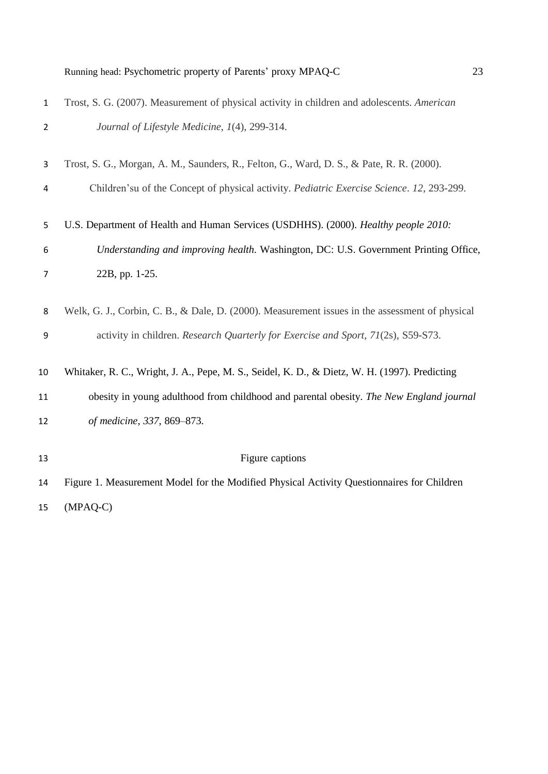| Running head: Psychometric property of Parents' proxy MPAQ-C |  | າາ |
|--------------------------------------------------------------|--|----|
|--------------------------------------------------------------|--|----|

| $\mathbf{1}$   | Trost, S. G. (2007). Measurement of physical activity in children and adolescents. American     |
|----------------|-------------------------------------------------------------------------------------------------|
| $\overline{2}$ | Journal of Lifestyle Medicine, 1(4), 299-314.                                                   |
| 3              | Trost, S. G., Morgan, A. M., Saunders, R., Felton, G., Ward, D. S., & Pate, R. R. (2000).       |
| 4              | Children'su of the Concept of physical activity. Pediatric Exercise Science. 12, 293-299.       |
| 5              | U.S. Department of Health and Human Services (USDHHS). (2000). Healthy people 2010:             |
| 6              | Understanding and improving health. Washington, DC: U.S. Government Printing Office,            |
| 7              | 22B, pp. 1-25.                                                                                  |
| 8              | Welk, G. J., Corbin, C. B., & Dale, D. (2000). Measurement issues in the assessment of physical |
| 9              | activity in children. Research Quarterly for Exercise and Sport, 71(2s), S59-S73.               |
| 10             | Whitaker, R. C., Wright, J. A., Pepe, M. S., Seidel, K. D., & Dietz, W. H. (1997). Predicting   |
| 11             | obesity in young adulthood from childhood and parental obesity. The New England journal         |
| 12             | of medicine, 337, 869-873.                                                                      |
| 13             | Figure captions                                                                                 |
| 14             | Figure 1. Measurement Model for the Modified Physical Activity Questionnaires for Children      |
| 15             | $(MPAQ-C)$                                                                                      |